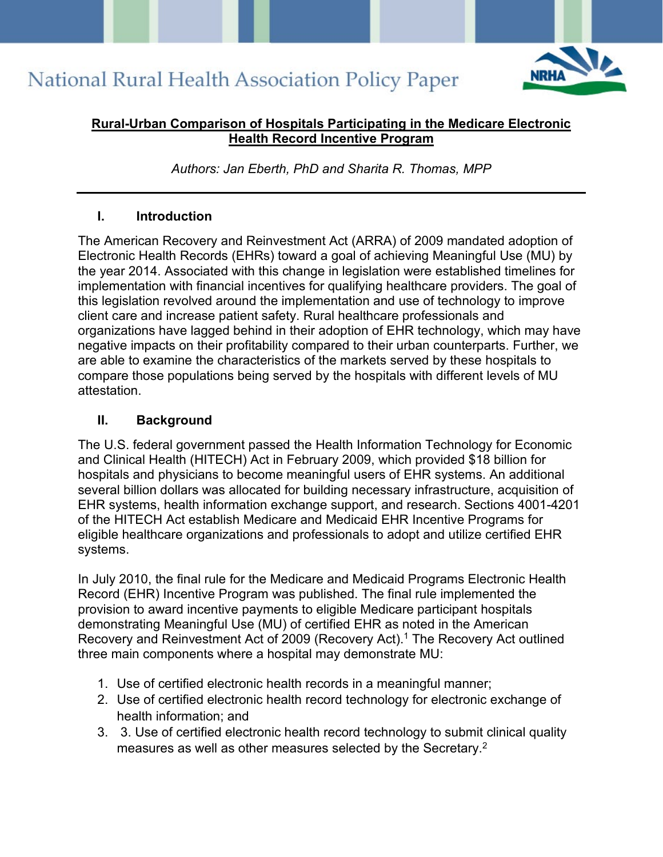

#### **Rural-Urban Comparison of Hospitals Participating in the Medicare Electronic Health Record Incentive Program**

*Authors: Jan Eberth, PhD and Sharita R. Thomas, MPP* 

#### **I. Introduction**

The American Recovery and Reinvestment Act (ARRA) of 2009 mandated adoption of Electronic Health Records (EHRs) toward a goal of achieving Meaningful Use (MU) by the year 2014. Associated with this change in legislation were established timelines for implementation with financial incentives for qualifying healthcare providers. The goal of this legislation revolved around the implementation and use of technology to improve client care and increase patient safety. Rural healthcare professionals and organizations have lagged behind in their adoption of EHR technology, which may have negative impacts on their profitability compared to their urban counterparts. Further, we are able to examine the characteristics of the markets served by these hospitals to compare those populations being served by the hospitals with different levels of MU attestation.

#### **II. Background**

The U.S. federal government passed the Health Information Technology for Economic and Clinical Health (HITECH) Act in February 2009, which provided \$18 billion for hospitals and physicians to become meaningful users of EHR systems. An additional several billion dollars was allocated for building necessary infrastructure, acquisition of EHR systems, health information exchange support, and research. Sections 4001-4201 of the HITECH Act establish Medicare and Medicaid EHR Incentive Programs for eligible healthcare organizations and professionals to adopt and utilize certified EHR systems.

In July 2010, the final rule for the Medicare and Medicaid Programs Electronic Health Record (EHR) Incentive Program was published. The final rule implemented the provision to award incentive payments to eligible Medicare participant hospitals demonstrating Meaningful Use (MU) of certified EHR as noted in the American Recovery and Reinvestment Act of 2009 (Recovery Act).1 The Recovery Act outlined three main components where a hospital may demonstrate MU:

- 1. Use of certified electronic health records in a meaningful manner;
- 2. Use of certified electronic health record technology for electronic exchange of health information; and
- 3. 3. Use of certified electronic health record technology to submit clinical quality measures as well as other measures selected by the Secretary.2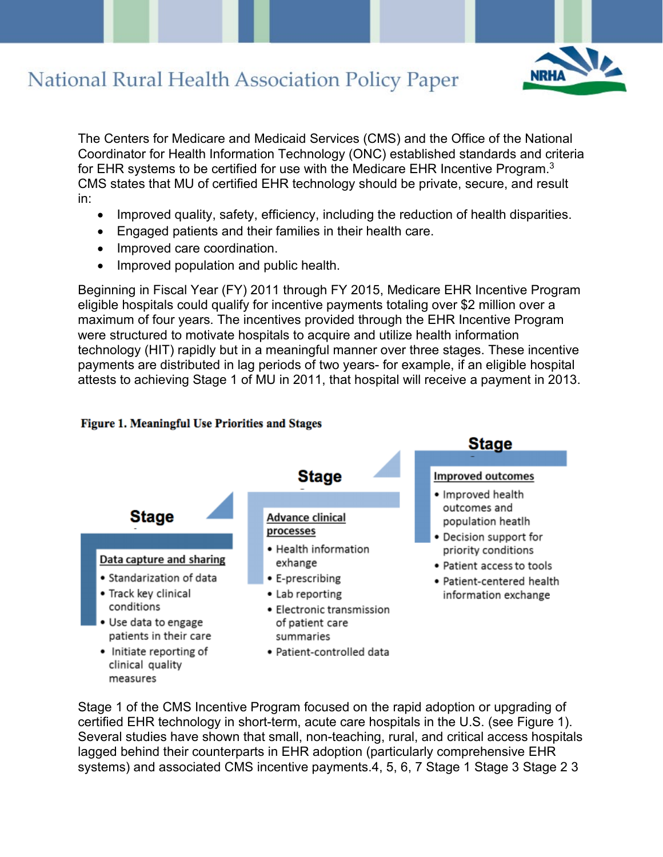

The Centers for Medicare and Medicaid Services (CMS) and the Office of the National Coordinator for Health Information Technology (ONC) established standards and criteria for EHR systems to be certified for use with the Medicare EHR Incentive Program.<sup>3</sup> CMS states that MU of certified EHR technology should be private, secure, and result in:

- Improved quality, safety, efficiency, including the reduction of health disparities.
- Engaged patients and their families in their health care.
- Improved care coordination.
- Improved population and public health.

Beginning in Fiscal Year (FY) 2011 through FY 2015, Medicare EHR Incentive Program eligible hospitals could qualify for incentive payments totaling over \$2 million over a maximum of four years. The incentives provided through the EHR Incentive Program were structured to motivate hospitals to acquire and utilize health information technology (HIT) rapidly but in a meaningful manner over three stages. These incentive payments are distributed in lag periods of two years- for example, if an eligible hospital attests to achieving Stage 1 of MU in 2011, that hospital will receive a payment in 2013.



#### Figure 1. Meaningful Use Priorities and Stages

Stage 1 of the CMS Incentive Program focused on the rapid adoption or upgrading of certified EHR technology in short-term, acute care hospitals in the U.S. (see Figure 1). Several studies have shown that small, non-teaching, rural, and critical access hospitals lagged behind their counterparts in EHR adoption (particularly comprehensive EHR systems) and associated CMS incentive payments.4, 5, 6, 7 Stage 1 Stage 3 Stage 2 3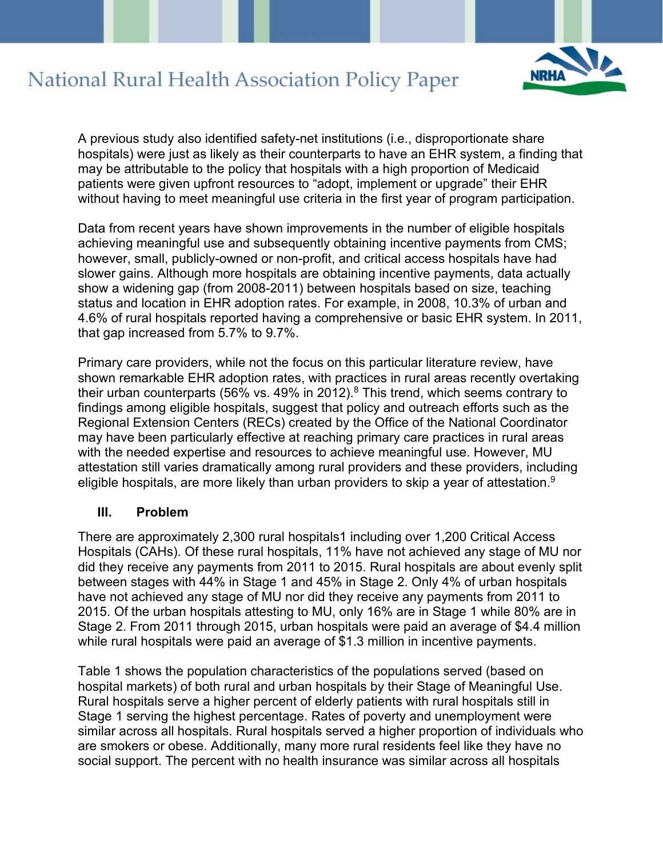

A previous study also identified safety-net institutions (i.e., disproportionate share hospitals) were just as likely as their counterparts to have an EHR system, a finding that may be attributable to the policy that hospitals with a high proportion of Medicaid patients were given upfront resources to "adopt, implement or upgrade" their EHR without having to meet meaningful use criteria in the first year of program participation.

Data from recent years have shown improvements in the number of eligible hospitals achieving meaningful use and subsequently obtaining incentive payments from CMS; however, small, publicly-owned or non-profit, and critical access hospitals have had slower gains. Although more hospitals are obtaining incentive payments, data actually show a widening gap (from 2008-2011) between hospitals based on size, teaching status and location in EHR adoption rates. For example, in 2008, 10.3% of urban and 4.6% of rural hospitals reported having a comprehensive or basic EHR system. In 2011, that gap increased from 5.7% to 9.7%.

Primary care providers, while not the focus on this particular literature review, have shown remarkable EHR adoption rates, with practices in rural areas recently overtaking their urban counterparts (56% vs. 49% in 2012). $8$  This trend, which seems contrary to findings among eligible hospitals, suggest that policy and outreach efforts such as the Regional Extension Centers (RECs) created by the Office of the National Coordinator may have been particularly effective at reaching primary care practices in rural areas with the needed expertise and resources to achieve meaningful use. However, MU attestation still varies dramatically among rural providers and these providers, including eligible hospitals, are more likely than urban providers to skip a year of attestation.<sup>9</sup>

#### **III. Problem**

There are approximately 2,300 rural hospitals1 including over 1,200 Critical Access Hospitals (CAHs). Of these rural hospitals, 11% have not achieved any stage of MU nor did they receive any payments from 2011 to 2015. Rural hospitals are about evenly split between stages with 44% in Stage 1 and 45% in Stage 2. Only 4% of urban hospitals have not achieved any stage of MU nor did they receive any payments from 2011 to 2015. Of the urban hospitals attesting to MU, only 16% are in Stage 1 while 80% are in Stage 2. From 2011 through 2015, urban hospitals were paid an average of \$4.4 million while rural hospitals were paid an average of \$1.3 million in incentive payments.

Table 1 shows the population characteristics of the populations served (based on hospital markets) of both rural and urban hospitals by their Stage of Meaningful Use. Rural hospitals serve a higher percent of elderly patients with rural hospitals still in Stage 1 serving the highest percentage. Rates of poverty and unemployment were similar across all hospitals. Rural hospitals served a higher proportion of individuals who are smokers or obese. Additionally, many more rural residents feel like they have no social support. The percent with no health insurance was similar across all hospitals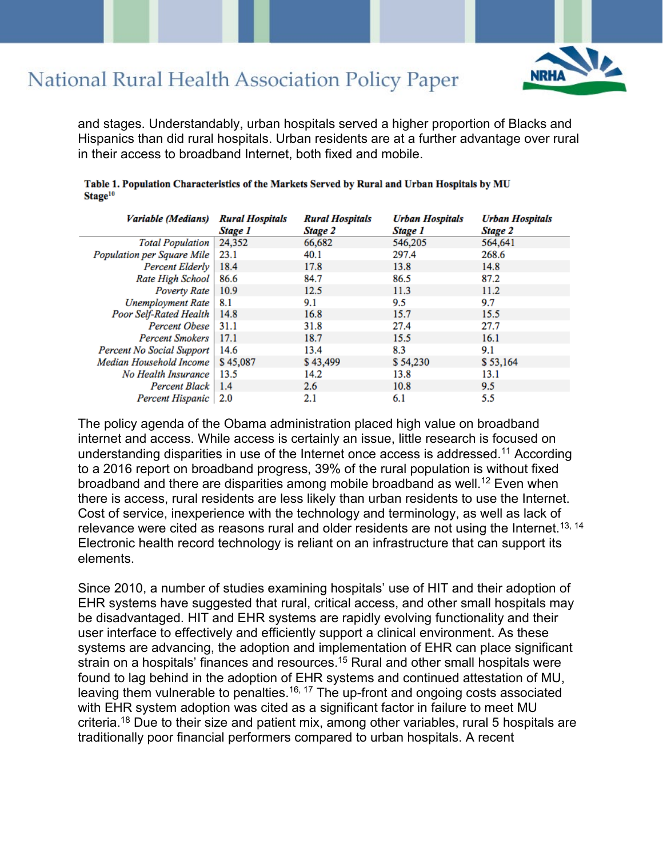

and stages. Understandably, urban hospitals served a higher proportion of Blacks and Hispanics than did rural hospitals. Urban residents are at a further advantage over rural in their access to broadband Internet, both fixed and mobile.

| Variable (Medians)         | <b>Rural Hospitals</b><br>Stage 1 | <b>Rural Hospitals</b><br>Stage 2 | <b>Urban Hospitals</b><br>Stage 1 | <b>Urban Hospitals</b><br>Stage 2 |
|----------------------------|-----------------------------------|-----------------------------------|-----------------------------------|-----------------------------------|
| <b>Total Population</b>    | 24,352                            | 66,682                            | 546,205                           | 564,641                           |
| Population per Square Mile | 23.1                              | 40.1                              | 297.4                             | 268.6                             |
| Percent Elderly            | 18.4                              | 17.8                              | 13.8                              | 14.8                              |
| Rate High School           | 86.6                              | 84.7                              | 86.5                              | 87.2                              |
| Poverty Rate               | 10.9                              | 12.5                              | 11.3                              | 11.2                              |
| <b>Unemployment Rate</b>   | 8.1                               | 9.1                               | 9.5                               | 9.7                               |
| Poor Self-Rated Health     | 14.8                              | 16.8                              | 15.7                              | 15.5                              |
| <b>Percent Obese</b>       | 31.1                              | 31.8                              | 27.4                              | 27.7                              |
| <b>Percent Smokers</b>     | 17.1                              | 18.7                              | 15.5                              | 16.1                              |
| Percent No Social Support  | 14.6                              | 13.4                              | 8.3                               | 9.1                               |
| Median Household Income    | \$45,087                          | \$43,499                          | \$54,230                          | \$ 53,164                         |
| No Health Insurance        | 13.5                              | 14.2                              | 13.8                              | 13.1                              |
| Percent Black              | 1.4                               | 2.6                               | 10.8                              | 9.5                               |
| Percent Hispanic           | 2.0                               | 2.1                               | 6.1                               | 5.5                               |

Table 1. Population Characteristics of the Markets Served by Rural and Urban Hospitals by MU Stage<sup>10</sup>

The policy agenda of the Obama administration placed high value on broadband internet and access. While access is certainly an issue, little research is focused on understanding disparities in use of the Internet once access is addressed.11 According to a 2016 report on broadband progress, 39% of the rural population is without fixed broadband and there are disparities among mobile broadband as well.12 Even when there is access, rural residents are less likely than urban residents to use the Internet. Cost of service, inexperience with the technology and terminology, as well as lack of relevance were cited as reasons rural and older residents are not using the Internet.<sup>13, 14</sup> Electronic health record technology is reliant on an infrastructure that can support its elements.

Since 2010, a number of studies examining hospitals' use of HIT and their adoption of EHR systems have suggested that rural, critical access, and other small hospitals may be disadvantaged. HIT and EHR systems are rapidly evolving functionality and their user interface to effectively and efficiently support a clinical environment. As these systems are advancing, the adoption and implementation of EHR can place significant strain on a hospitals' finances and resources.15 Rural and other small hospitals were found to lag behind in the adoption of EHR systems and continued attestation of MU, leaving them vulnerable to penalties.<sup>16, 17</sup> The up-front and ongoing costs associated with EHR system adoption was cited as a significant factor in failure to meet MU criteria.18 Due to their size and patient mix, among other variables, rural 5 hospitals are traditionally poor financial performers compared to urban hospitals. A recent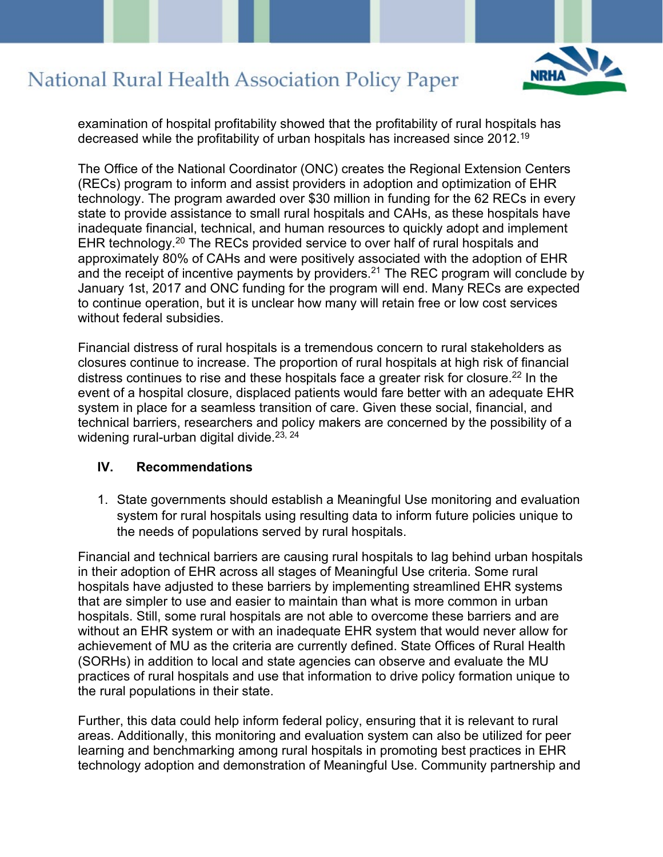

examination of hospital profitability showed that the profitability of rural hospitals has decreased while the profitability of urban hospitals has increased since 2012.19

The Office of the National Coordinator (ONC) creates the Regional Extension Centers (RECs) program to inform and assist providers in adoption and optimization of EHR technology. The program awarded over \$30 million in funding for the 62 RECs in every state to provide assistance to small rural hospitals and CAHs, as these hospitals have inadequate financial, technical, and human resources to quickly adopt and implement EHR technology.20 The RECs provided service to over half of rural hospitals and approximately 80% of CAHs and were positively associated with the adoption of EHR and the receipt of incentive payments by providers.<sup>21</sup> The REC program will conclude by January 1st, 2017 and ONC funding for the program will end. Many RECs are expected to continue operation, but it is unclear how many will retain free or low cost services without federal subsidies.

Financial distress of rural hospitals is a tremendous concern to rural stakeholders as closures continue to increase. The proportion of rural hospitals at high risk of financial distress continues to rise and these hospitals face a greater risk for closure.<sup>22</sup> In the event of a hospital closure, displaced patients would fare better with an adequate EHR system in place for a seamless transition of care. Given these social, financial, and technical barriers, researchers and policy makers are concerned by the possibility of a widening rural-urban digital divide.<sup>23, 24</sup>

#### **IV. Recommendations**

1. State governments should establish a Meaningful Use monitoring and evaluation system for rural hospitals using resulting data to inform future policies unique to the needs of populations served by rural hospitals.

Financial and technical barriers are causing rural hospitals to lag behind urban hospitals in their adoption of EHR across all stages of Meaningful Use criteria. Some rural hospitals have adjusted to these barriers by implementing streamlined EHR systems that are simpler to use and easier to maintain than what is more common in urban hospitals. Still, some rural hospitals are not able to overcome these barriers and are without an EHR system or with an inadequate EHR system that would never allow for achievement of MU as the criteria are currently defined. State Offices of Rural Health (SORHs) in addition to local and state agencies can observe and evaluate the MU practices of rural hospitals and use that information to drive policy formation unique to the rural populations in their state.

Further, this data could help inform federal policy, ensuring that it is relevant to rural areas. Additionally, this monitoring and evaluation system can also be utilized for peer learning and benchmarking among rural hospitals in promoting best practices in EHR technology adoption and demonstration of Meaningful Use. Community partnership and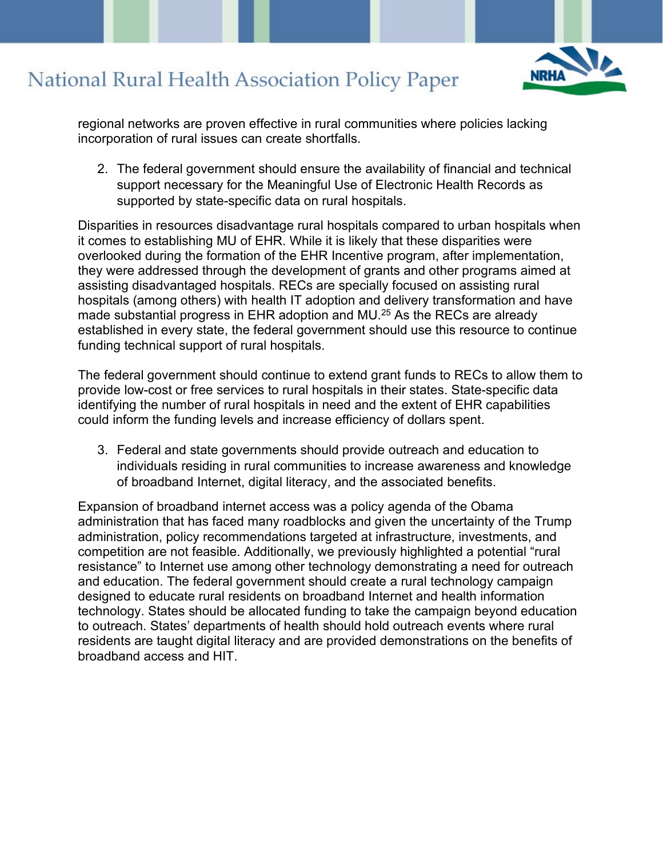

regional networks are proven effective in rural communities where policies lacking incorporation of rural issues can create shortfalls.

2. The federal government should ensure the availability of financial and technical support necessary for the Meaningful Use of Electronic Health Records as supported by state-specific data on rural hospitals.

Disparities in resources disadvantage rural hospitals compared to urban hospitals when it comes to establishing MU of EHR. While it is likely that these disparities were overlooked during the formation of the EHR Incentive program, after implementation, they were addressed through the development of grants and other programs aimed at assisting disadvantaged hospitals. RECs are specially focused on assisting rural hospitals (among others) with health IT adoption and delivery transformation and have made substantial progress in EHR adoption and MU.<sup>25</sup> As the RECs are already established in every state, the federal government should use this resource to continue funding technical support of rural hospitals.

The federal government should continue to extend grant funds to RECs to allow them to provide low-cost or free services to rural hospitals in their states. State-specific data identifying the number of rural hospitals in need and the extent of EHR capabilities could inform the funding levels and increase efficiency of dollars spent.

3. Federal and state governments should provide outreach and education to individuals residing in rural communities to increase awareness and knowledge of broadband Internet, digital literacy, and the associated benefits.

Expansion of broadband internet access was a policy agenda of the Obama administration that has faced many roadblocks and given the uncertainty of the Trump administration, policy recommendations targeted at infrastructure, investments, and competition are not feasible. Additionally, we previously highlighted a potential "rural resistance" to Internet use among other technology demonstrating a need for outreach and education. The federal government should create a rural technology campaign designed to educate rural residents on broadband Internet and health information technology. States should be allocated funding to take the campaign beyond education to outreach. States' departments of health should hold outreach events where rural residents are taught digital literacy and are provided demonstrations on the benefits of broadband access and HIT.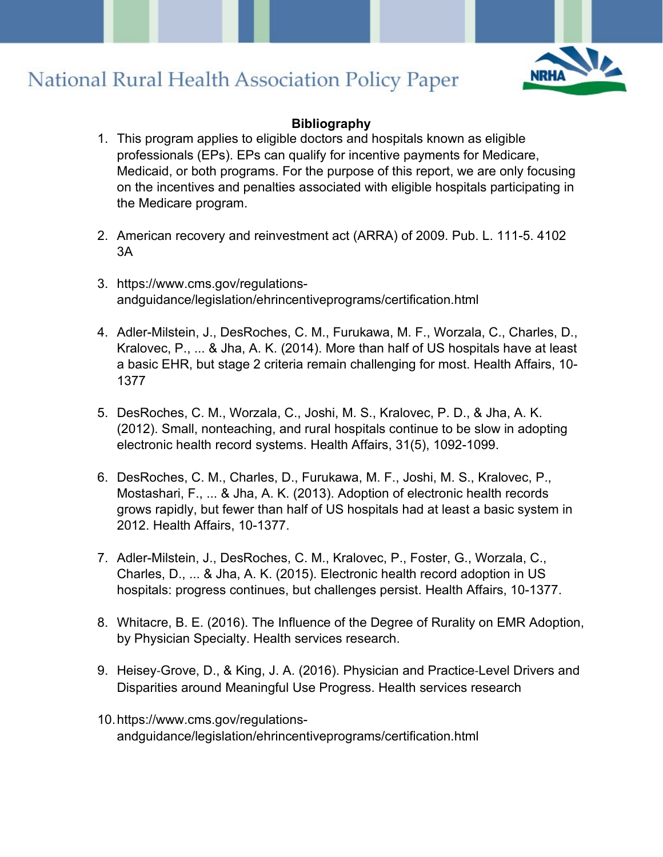

#### **Bibliography**

- 1. This program applies to eligible doctors and hospitals known as eligible professionals (EPs). EPs can qualify for incentive payments for Medicare, Medicaid, or both programs. For the purpose of this report, we are only focusing on the incentives and penalties associated with eligible hospitals participating in the Medicare program.
- 2. American recovery and reinvestment act (ARRA) of 2009. Pub. L. 111-5. 4102 3A
- 3. https://www.cms.gov/regulationsandguidance/legislation/ehrincentiveprograms/certification.html
- 4. Adler-Milstein, J., DesRoches, C. M., Furukawa, M. F., Worzala, C., Charles, D., Kralovec, P., ... & Jha, A. K. (2014). More than half of US hospitals have at least a basic EHR, but stage 2 criteria remain challenging for most. Health Affairs, 10- 1377
- 5. DesRoches, C. M., Worzala, C., Joshi, M. S., Kralovec, P. D., & Jha, A. K. (2012). Small, nonteaching, and rural hospitals continue to be slow in adopting electronic health record systems. Health Affairs, 31(5), 1092-1099.
- 6. DesRoches, C. M., Charles, D., Furukawa, M. F., Joshi, M. S., Kralovec, P., Mostashari, F., ... & Jha, A. K. (2013). Adoption of electronic health records grows rapidly, but fewer than half of US hospitals had at least a basic system in 2012. Health Affairs, 10-1377.
- 7. Adler-Milstein, J., DesRoches, C. M., Kralovec, P., Foster, G., Worzala, C., Charles, D., ... & Jha, A. K. (2015). Electronic health record adoption in US hospitals: progress continues, but challenges persist. Health Affairs, 10-1377.
- 8. Whitacre, B. E. (2016). The Influence of the Degree of Rurality on EMR Adoption, by Physician Specialty. Health services research.
- 9. Heisey‐Grove, D., & King, J. A. (2016). Physician and Practice‐Level Drivers and Disparities around Meaningful Use Progress. Health services research
- 10.https://www.cms.gov/regulationsandguidance/legislation/ehrincentiveprograms/certification.html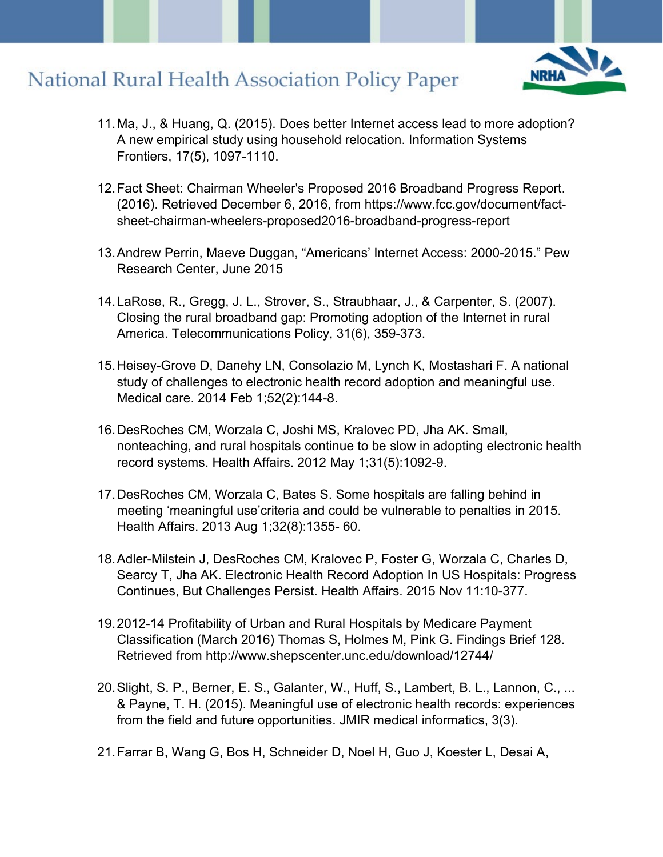

- 11.Ma, J., & Huang, Q. (2015). Does better Internet access lead to more adoption? A new empirical study using household relocation. Information Systems Frontiers, 17(5), 1097-1110.
- 12.Fact Sheet: Chairman Wheeler's Proposed 2016 Broadband Progress Report. (2016). Retrieved December 6, 2016, from https://www.fcc.gov/document/factsheet-chairman-wheelers-proposed2016-broadband-progress-report
- 13.Andrew Perrin, Maeve Duggan, "Americans' Internet Access: 2000-2015." Pew Research Center, June 2015
- 14.LaRose, R., Gregg, J. L., Strover, S., Straubhaar, J., & Carpenter, S. (2007). Closing the rural broadband gap: Promoting adoption of the Internet in rural America. Telecommunications Policy, 31(6), 359-373.
- 15.Heisey-Grove D, Danehy LN, Consolazio M, Lynch K, Mostashari F. A national study of challenges to electronic health record adoption and meaningful use. Medical care. 2014 Feb 1;52(2):144-8.
- 16.DesRoches CM, Worzala C, Joshi MS, Kralovec PD, Jha AK. Small, nonteaching, and rural hospitals continue to be slow in adopting electronic health record systems. Health Affairs. 2012 May 1;31(5):1092-9.
- 17.DesRoches CM, Worzala C, Bates S. Some hospitals are falling behind in meeting 'meaningful use'criteria and could be vulnerable to penalties in 2015. Health Affairs. 2013 Aug 1;32(8):1355- 60.
- 18.Adler-Milstein J, DesRoches CM, Kralovec P, Foster G, Worzala C, Charles D, Searcy T, Jha AK. Electronic Health Record Adoption In US Hospitals: Progress Continues, But Challenges Persist. Health Affairs. 2015 Nov 11:10-377.
- 19.2012-14 Profitability of Urban and Rural Hospitals by Medicare Payment Classification (March 2016) Thomas S, Holmes M, Pink G. Findings Brief 128. Retrieved from http://www.shepscenter.unc.edu/download/12744/
- 20.Slight, S. P., Berner, E. S., Galanter, W., Huff, S., Lambert, B. L., Lannon, C., ... & Payne, T. H. (2015). Meaningful use of electronic health records: experiences from the field and future opportunities. JMIR medical informatics, 3(3).
- 21.Farrar B, Wang G, Bos H, Schneider D, Noel H, Guo J, Koester L, Desai A,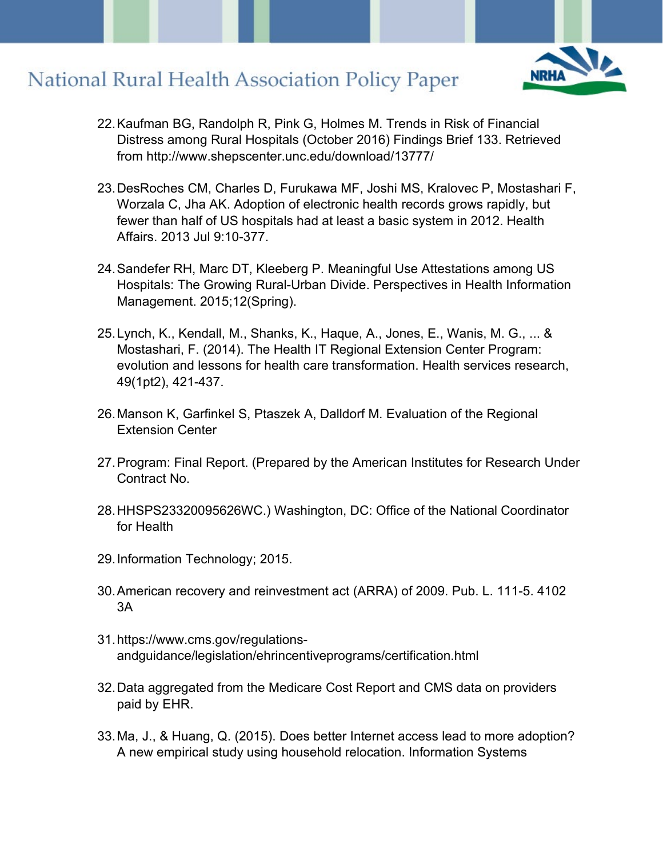

- 22.Kaufman BG, Randolph R, Pink G, Holmes M. Trends in Risk of Financial Distress among Rural Hospitals (October 2016) Findings Brief 133. Retrieved from http://www.shepscenter.unc.edu/download/13777/
- 23.DesRoches CM, Charles D, Furukawa MF, Joshi MS, Kralovec P, Mostashari F, Worzala C, Jha AK. Adoption of electronic health records grows rapidly, but fewer than half of US hospitals had at least a basic system in 2012. Health Affairs. 2013 Jul 9:10-377.
- 24.Sandefer RH, Marc DT, Kleeberg P. Meaningful Use Attestations among US Hospitals: The Growing Rural-Urban Divide. Perspectives in Health Information Management. 2015;12(Spring).
- 25.Lynch, K., Kendall, M., Shanks, K., Haque, A., Jones, E., Wanis, M. G., ... & Mostashari, F. (2014). The Health IT Regional Extension Center Program: evolution and lessons for health care transformation. Health services research, 49(1pt2), 421-437.
- 26.Manson K, Garfinkel S, Ptaszek A, Dalldorf M. Evaluation of the Regional Extension Center
- 27.Program: Final Report. (Prepared by the American Institutes for Research Under Contract No.
- 28.HHSPS23320095626WC.) Washington, DC: Office of the National Coordinator for Health
- 29.Information Technology; 2015.
- 30.American recovery and reinvestment act (ARRA) of 2009. Pub. L. 111-5. 4102 3A
- 31.https://www.cms.gov/regulationsandguidance/legislation/ehrincentiveprograms/certification.html
- 32.Data aggregated from the Medicare Cost Report and CMS data on providers paid by EHR.
- 33.Ma, J., & Huang, Q. (2015). Does better Internet access lead to more adoption? A new empirical study using household relocation. Information Systems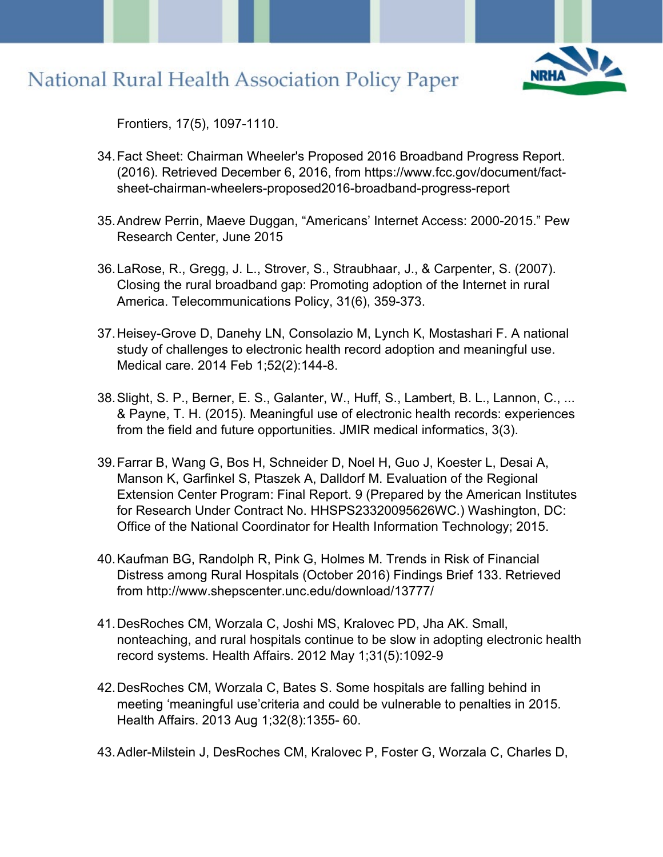

Frontiers, 17(5), 1097-1110.

- 34.Fact Sheet: Chairman Wheeler's Proposed 2016 Broadband Progress Report. (2016). Retrieved December 6, 2016, from https://www.fcc.gov/document/factsheet-chairman-wheelers-proposed2016-broadband-progress-report
- 35.Andrew Perrin, Maeve Duggan, "Americans' Internet Access: 2000-2015." Pew Research Center, June 2015
- 36.LaRose, R., Gregg, J. L., Strover, S., Straubhaar, J., & Carpenter, S. (2007). Closing the rural broadband gap: Promoting adoption of the Internet in rural America. Telecommunications Policy, 31(6), 359-373.
- 37.Heisey-Grove D, Danehy LN, Consolazio M, Lynch K, Mostashari F. A national study of challenges to electronic health record adoption and meaningful use. Medical care. 2014 Feb 1;52(2):144-8.
- 38.Slight, S. P., Berner, E. S., Galanter, W., Huff, S., Lambert, B. L., Lannon, C., ... & Payne, T. H. (2015). Meaningful use of electronic health records: experiences from the field and future opportunities. JMIR medical informatics, 3(3).
- 39.Farrar B, Wang G, Bos H, Schneider D, Noel H, Guo J, Koester L, Desai A, Manson K, Garfinkel S, Ptaszek A, Dalldorf M. Evaluation of the Regional Extension Center Program: Final Report. 9 (Prepared by the American Institutes for Research Under Contract No. HHSPS23320095626WC.) Washington, DC: Office of the National Coordinator for Health Information Technology; 2015.
- 40.Kaufman BG, Randolph R, Pink G, Holmes M. Trends in Risk of Financial Distress among Rural Hospitals (October 2016) Findings Brief 133. Retrieved from http://www.shepscenter.unc.edu/download/13777/
- 41.DesRoches CM, Worzala C, Joshi MS, Kralovec PD, Jha AK. Small, nonteaching, and rural hospitals continue to be slow in adopting electronic health record systems. Health Affairs. 2012 May 1;31(5):1092-9
- 42.DesRoches CM, Worzala C, Bates S. Some hospitals are falling behind in meeting 'meaningful use'criteria and could be vulnerable to penalties in 2015. Health Affairs. 2013 Aug 1;32(8):1355- 60.
- 43.Adler-Milstein J, DesRoches CM, Kralovec P, Foster G, Worzala C, Charles D,